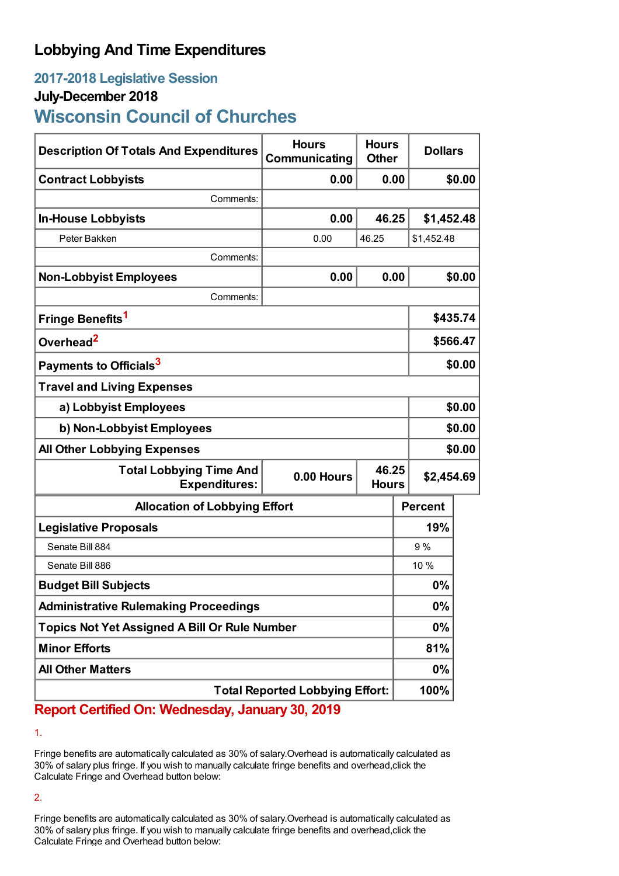# **Lobbying And Time Expenditures**

# **2017-2018 Legislative Session**

### **July-December 2018**

# **Wisconsin Council of Churches**

| <b>Description Of Totals And Expenditures</b>          | <b>Hours</b><br>Communicating | <b>Hours</b><br><b>Other</b> | <b>Dollars</b> |                |  |
|--------------------------------------------------------|-------------------------------|------------------------------|----------------|----------------|--|
| <b>Contract Lobbyists</b>                              | 0.00                          |                              | 0.00<br>\$0.00 |                |  |
| Comments:                                              |                               |                              |                |                |  |
| <b>In-House Lobbyists</b>                              | 0.00                          | 46.25                        |                | \$1,452.48     |  |
| Peter Bakken                                           | 0.00                          | 46.25                        | \$1,452.48     |                |  |
| Comments:                                              |                               |                              |                |                |  |
| <b>Non-Lobbyist Employees</b>                          | 0.00                          | 0.00                         |                | \$0.00         |  |
| Comments:                                              |                               |                              |                |                |  |
| Fringe Benefits <sup>1</sup>                           |                               |                              | \$435.74       |                |  |
| Overhead <sup>2</sup>                                  |                               |                              |                | \$566.47       |  |
| Payments to Officials <sup>3</sup>                     |                               |                              |                | \$0.00         |  |
| <b>Travel and Living Expenses</b>                      |                               |                              |                |                |  |
| a) Lobbyist Employees                                  |                               |                              |                | \$0.00         |  |
| b) Non-Lobbyist Employees                              |                               |                              |                | \$0.00         |  |
| <b>All Other Lobbying Expenses</b>                     |                               |                              |                | \$0.00         |  |
| <b>Total Lobbying Time And</b><br><b>Expenditures:</b> | 0.00 Hours                    | 46.25<br><b>Hours</b>        |                | \$2,454.69     |  |
| <b>Allocation of Lobbying Effort</b>                   |                               |                              |                | <b>Percent</b> |  |
| <b>Legislative Proposals</b>                           |                               |                              |                | 19%            |  |
| Senate Bill 884                                        |                               |                              | 9%             |                |  |
| Senate Bill 886                                        |                               |                              | 10 %           |                |  |
| <b>Budget Bill Subjects</b>                            |                               |                              | 0%             |                |  |
| <b>Administrative Rulemaking Proceedings</b>           |                               |                              | 0%             |                |  |
| <b>Topics Not Yet Assigned A Bill Or Rule Number</b>   |                               |                              |                | $0\%$          |  |
| <b>Minor Efforts</b>                                   |                               |                              | 81%            |                |  |
| <b>All Other Matters</b>                               |                               |                              | 0%             |                |  |
| <b>Total Reported Lobbying Effort:</b>                 |                               |                              |                | 100%           |  |

**Report Certified On: Wednesday, January 30, 2019**

1.

Fringe benefits are automatically calculated as 30% of salary.Overhead is automatically calculated as 30% of salary plus fringe. If you wish to manually calculate fringe benefits and overhead,click the Calculate Fringe and Overhead button below:

2.

Fringe benefits are automatically calculated as 30% of salary.Overhead is automatically calculated as 30% of salary plus fringe. If you wish to manually calculate fringe benefits and overhead,click the Calculate Fringe and Overhead button below: